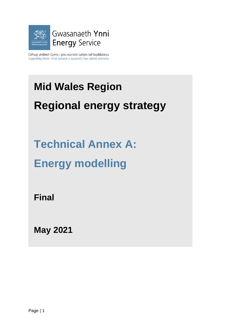

Cefnogi ymdrech Cymru i greu economi carbon isel Iwyddiannus Supporting Wales' drive towards a successful low carbon economy

# **Mid Wales Region**

# **Regional energy strategy**

**Technical Annex A:**

**Energy modelling** 

**Final** 

**May 2021**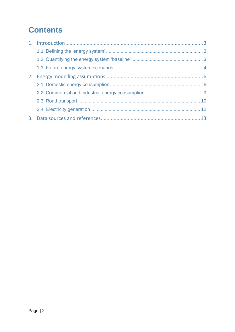## **Contents**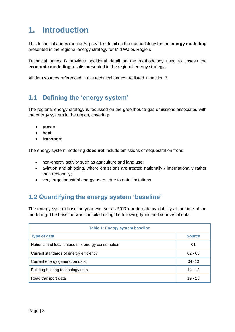## <span id="page-2-0"></span>**1. Introduction**

This technical annex (annex A) provides detail on the methodology for the **energy modelling** presented in the regional energy strategy for Mid Wales Region.

Technical annex B provides additional detail on the methodology used to assess the **economic modelling** results presented in the regional energy strategy.

All data sources referenced in this technical annex are listed in section 3.

## <span id="page-2-1"></span>**1.1 Defining the 'energy system'**

The regional energy strategy is focussed on the greenhouse gas emissions associated with the energy system in the region, covering:

- **power**
- **heat**
- **transport**

The energy system modelling **does not** include emissions or sequestration from:

- non-energy activity such as agriculture and land use;
- aviation and shipping, where emissions are treated nationally / internationally rather than regionally;
- very large industrial energy users, due to data limitations.

## <span id="page-2-2"></span>**1.2 Quantifying the energy system 'baseline'**

The energy system baseline year was set as 2017 due to data availability at the time of the modelling. The baseline was compiled using the following types and sources of data:

| <b>Table 1: Energy system baseline</b>            |               |  |  |
|---------------------------------------------------|---------------|--|--|
| <b>Type of data</b>                               | <b>Source</b> |  |  |
| National and local datasets of energy consumption | 01            |  |  |
| Current standards of energy efficiency            | $02 - 03$     |  |  |
| Current energy generation data                    | $04 - 13$     |  |  |
| Building heating technology data                  | 14 - 18       |  |  |
| Road transport data                               | $19 - 26$     |  |  |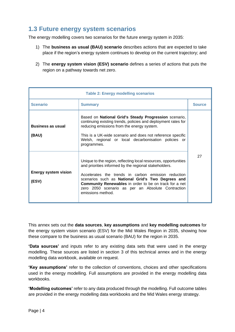## <span id="page-3-0"></span>**1.3 Future energy system scenarios**

The energy modelling covers two scenarios for the future energy system in 2035:

- 1) The **business as usual (BAU) scenario** describes actions that are expected to take place if the region's energy system continues to develop on the current trajectory; and
- 2) The **energy system vision (ESV) scenario** defines a series of actions that puts the region on a pathway towards net zero.

| <b>Table 2: Energy modelling scenarios</b> |                                                                                                                                                                                                                                                                                                                                                                                 |               |  |  |
|--------------------------------------------|---------------------------------------------------------------------------------------------------------------------------------------------------------------------------------------------------------------------------------------------------------------------------------------------------------------------------------------------------------------------------------|---------------|--|--|
| <b>Scenario</b>                            | <b>Summary</b>                                                                                                                                                                                                                                                                                                                                                                  | <b>Source</b> |  |  |
| <b>Business as usual</b><br>(BAU)          | Based on National Grid's Steady Progression scenario,<br>continuing existing trends, policies and deployment rates for<br>reducing emissions from the energy system.<br>This is a UK-wide scenario and does not reference specific<br>Welsh, regional or local decarbonisation policies or<br>programmes.                                                                       |               |  |  |
| <b>Energy system vision</b><br>(ESV)       | Unique to the region, reflecting local resources, opportunities<br>and priorities informed by the regional stakeholders.<br>Accelerates the trends in carbon emission reduction<br>scenarios such as National Grid's Two Degrees and<br><b>Community Renewables</b> in order to be on track for a net<br>zero 2050 scenario as per an Absolute Contraction<br>emissions method. | 27            |  |  |

This annex sets out the **data sources**, **key assumptions** and **key modelling outcomes** for the energy system vision scenario (ESV) for the Mid Wales Region in 2035, showing how these compare to the business as usual scenario (BAU) for the region in 2035.

**'Data sources'** and inputs refer to any existing data sets that were used in the energy modelling. These sources are listed in section 3 of this technical annex and in the energy modelling data workbook, available on request.

**'Key assumptions'** refer to the collection of conventions, choices and other specifications used in the energy modelling. Full assumptions are provided in the energy modelling data workbooks.

**'Modelling outcomes'** refer to any data produced through the modelling. Full outcome tables are provided in the energy modelling data workbooks and the Mid Wales energy strategy.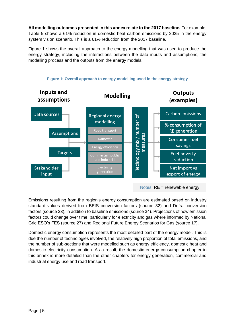**All modelling outcomes presented in this annex relate to the 2017 baseline.** For example, Table 5 shows a 61% reduction in domestic heat carbon emissions by 2035 in the energy system vision scenario. This is a 61% reduction from the 2017 baseline.

Figure 1 shows the overall approach to the energy modelling that was used to produce the energy strategy, including the interactions between the data inputs and assumptions, the modelling process and the outputs from the energy models.



Emissions resulting from the region's energy consumption are estimated based on industry standard values derived from BEIS conversion factors (source 32) and Defra conversion factors (source 33), in addition to baseline emissions (source 34). Projections of how emission factors could change over time, particularly for electricity and gas where informed by National Grid ESO's FES (source 27) and Regional Future Energy Scenarios for Gas (source 17).

Domestic energy consumption represents the most detailed part of the energy model. This is due the number of technologies involved, the relatively high proportion of total emissions, and the number of sub-sections that were modelled such as energy efficiency, domestic heat and domestic electricity consumption. As a result, the domestic energy consumption chapter in this annex is more detailed than the other chapters for energy generation, commercial and industrial energy use and road transport.

#### **Figure 1: Overall approach to energy modelling used in the energy strategy**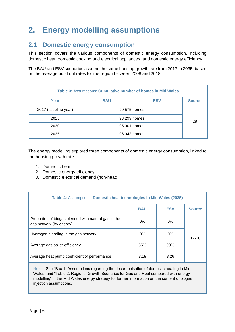## <span id="page-5-0"></span>**2. Energy modelling assumptions**

### <span id="page-5-1"></span>**2.1 Domestic energy consumption**

This section covers the various components of domestic energy consumption, including domestic heat, domestic cooking and electrical appliances, and domestic energy efficiency.

The BAU and ESV scenarios assume the same housing growth rate from 2017 to 2035, based on the average build out rates for the region between 2008 and 2018.

| Table 3: Assumptions: Cumulative number of homes in Mid Wales |              |               |  |  |
|---------------------------------------------------------------|--------------|---------------|--|--|
| Year                                                          | <b>BAU</b>   | <b>Source</b> |  |  |
| 2017 (baseline year)                                          | 90,575 homes |               |  |  |
| 2025                                                          | 93,299 homes |               |  |  |
| 2030<br>95,001 homes                                          |              | 28            |  |  |
| 2035                                                          | 96,043 homes |               |  |  |

The energy modelling explored three components of domestic energy consumption, linked to the housing growth rate:

- 1. Domestic heat
- 2. Domestic energy efficiency
- 3. Domestic electrical demand (non-heat)

| <b>Table 4: Assumptions: Domestic heat technologies in Mid Wales (2035)</b>     |            |            |               |
|---------------------------------------------------------------------------------|------------|------------|---------------|
|                                                                                 | <b>BAU</b> | <b>ESV</b> | <b>Source</b> |
| Proportion of biogas blended with natural gas in the<br>gas network (by energy) | $0\%$      | $0\%$      |               |
| Hydrogen blending in the gas network                                            | $0\%$      | $0\%$      | $17-18$       |
| Average gas boiler efficiency                                                   | 85%        | 90%        |               |
| Average heat pump coefficient of performance                                    | 3.19       | 3.26       |               |

Notes: See "Box 1: Assumptions regarding the decarbonisation of domestic heating in Mid Wales" and "Table 2. Regional Growth Scenarios for Gas and Heat compared with energy modelling" in the Mid Wales energy strategy for further information on the content of biogas injection assumptions.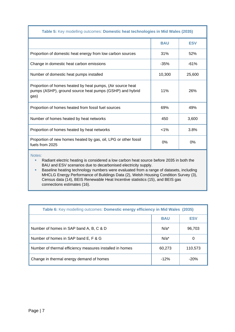| Table 5: Key modelling outcomes: Domestic heat technologies in Mid Wales (2035)                                                |            |            |  |
|--------------------------------------------------------------------------------------------------------------------------------|------------|------------|--|
|                                                                                                                                | <b>BAU</b> | <b>ESV</b> |  |
| Proportion of domestic heat energy from low carbon sources                                                                     | 31%        | 52%        |  |
| Change in domestic heat carbon emissions                                                                                       | $-35%$     | $-61%$     |  |
| Number of domestic heat pumps installed                                                                                        | 10,300     | 25,600     |  |
| Proportion of homes heated by heat pumps, (Air source heat<br>pumps (ASHP), ground source heat pumps (GSHP) and hybrid<br>gas) | 11%        | 26%        |  |
| Proportion of homes heated from fossil fuel sources                                                                            | 69%        | 49%        |  |
| Number of homes heated by heat networks                                                                                        | 450        | 3,600      |  |
| Proportion of homes heated by heat networks                                                                                    | $< 1\%$    | 3.8%       |  |
| Proportion of new homes heated by gas, oil, LPG or other fossil<br>fuels from 2025                                             | $0\%$      | $0\%$      |  |

Notes:

■ Radiant electric heating is considered a low carbon heat source before 2035 in both the BAU and ESV scenarios due to decarbonised electricity supply.

**EXEDENTIFY Baseline heating technology numbers were evaluated from a range of datasets, including** MHCLG Energy Performance of Buildings Data (2), Welsh Housing Condition Survey (3), Census data (14), BEIS Renewable Heat Incentive statistics (15), and BEIS gas connections estimates (16).

| Table 6: Key modelling outcomes: Domestic energy efficiency in Mid Wales (2035) |            |            |  |
|---------------------------------------------------------------------------------|------------|------------|--|
|                                                                                 | <b>BAU</b> | <b>ESV</b> |  |
| Number of homes in SAP band A, B, C & D                                         | $N/a^*$    | 96,703     |  |
| Number of homes in SAP band E, F & G                                            | $N/a^*$    | $\Omega$   |  |
| Number of thermal efficiency measures installed in homes                        | 60,273     | 110,573    |  |
| Change in thermal energy demand of homes                                        | $-12%$     | $-20%$     |  |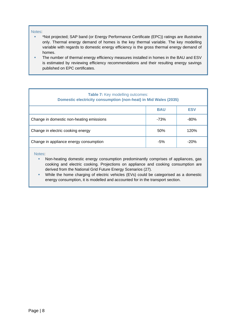#### Notes:

- \*Not projected; SAP band (or Energy Performance Certificate (EPC)) ratings are illustrative only. Thermal energy demand of homes is the key thermal variable. The key modelling variable with regards to domestic energy efficiency is the gross thermal energy demand of homes.
- The number of thermal energy efficiency measures installed in homes in the BAU and ESV is estimated by reviewing efficiency recommendations and their resulting energy savings published on EPC certificates.

| <b>Table 7: Key modelling outcomes:</b><br><b>Domestic electricity consumption (non-heat) in Mid Wales (2035)</b> |        |        |  |  |
|-------------------------------------------------------------------------------------------------------------------|--------|--------|--|--|
| <b>ESV</b><br><b>BAU</b>                                                                                          |        |        |  |  |
| Change in domestic non-heating emissions                                                                          | $-73%$ | $-80%$ |  |  |
| Change in electric cooking energy                                                                                 | 50%    | 120%   |  |  |
| Change in appliance energy consumption                                                                            | -5%    | $-20%$ |  |  |
|                                                                                                                   |        |        |  |  |

- **·** Non-heating domestic energy consumption predominantly comprises of appliances, gas cooking and electric cooking. Projections on appliance and cooking consumption are derived from the National Grid Future Energy Scenarios (27).
- While the home charging of electric vehicles (EVs) could be categorised as a domestic energy consumption, it is modelled and accounted for in the transport section.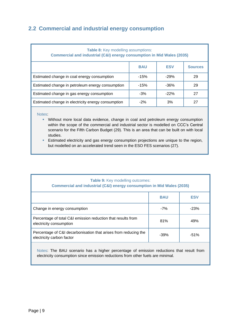### <span id="page-8-0"></span>**2.2 Commercial and industrial energy consumption**

| <b>Table 8:</b> Key modelling assumptions:<br>Commercial and industrial (C&I) energy consumption in Mid Wales (2035) |        |        |    |  |
|----------------------------------------------------------------------------------------------------------------------|--------|--------|----|--|
| <b>ESV</b><br><b>BAU</b><br><b>Sources</b>                                                                           |        |        |    |  |
| Estimated change in coal energy consumption                                                                          | $-15%$ | $-29%$ | 29 |  |
| Estimated change in petroleum energy consumption                                                                     | $-15%$ | $-36%$ | 29 |  |
| Estimated change in gas energy consumption                                                                           | $-3%$  | $-22%$ | 27 |  |
| Estimated change in electricity energy consumption                                                                   | $-2%$  | 3%     | 27 |  |

#### Notes:

- Without more local data evidence, change in coal and petroleum energy consumption within the scope of the commercial and industrial sector is modelled on CCC's Central scenario for the Fifth Carbon Budget (29). This is an area that can be built on with local studies.
- **Estimated electricity and gas energy consumption projections are unique to the region,** but modelled on an accelerated trend seen in the ESO FES scenarios (27).

| <b>Table 9: Key modelling outcomes:</b><br>Commercial and industrial (C&I) energy consumption in Mid Wales (2035) |        |        |  |  |
|-------------------------------------------------------------------------------------------------------------------|--------|--------|--|--|
| <b>BAU</b><br><b>ESV</b>                                                                                          |        |        |  |  |
| Change in energy consumption                                                                                      | $-7%$  | $-23%$ |  |  |
| Percentage of total C&I emission reduction that results from<br>electricity consumption                           | 81%    | 49%    |  |  |
| Percentage of C&I decarbonisation that arises from reducing the<br>electricity carbon factor                      | $-39%$ | $-51%$ |  |  |

Notes: The BAU scenario has a higher percentage of emission reductions that result from electricity consumption since emission reductions from other fuels are minimal.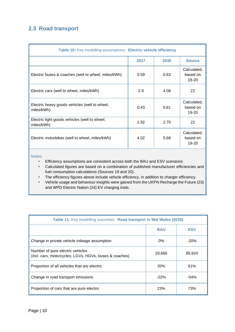### <span id="page-9-0"></span>**2.3 Road transport**

| Table 10: Key modelling assumptions: Electric vehicle efficiency |      |      |                                  |
|------------------------------------------------------------------|------|------|----------------------------------|
|                                                                  | 2017 | 2035 | <b>Source</b>                    |
| Electric buses & coaches (well to wheel, miles/kWh)              | 0.59 | 0.83 | Calculated,<br>based on<br>19-20 |
| Electric cars (well to wheel, miles/kWh)                         | 2.9  | 4.08 | 22                               |
| Electric heavy goods vehicles (well to wheel,<br>miles/kWh)      | 0.43 | 0.61 | Calculated,<br>based on<br>19-20 |
| Electric light goods vehicles (well to wheel,<br>miles/kWh)      | 1.92 | 2.70 | 22                               |
| Electric motorbikes (well to wheel, miles/kWh)                   | 4.02 | 5.66 | Calculated,<br>based on<br>19-20 |

- **Efficiency assumptions are consistent across both the BAU and ESV scenarios**
- Calculated figures are based on a combination of published manufacturer efficiencies and fuel consumption calculations (Sources 19 and 20).
- **·** The efficiency figures above include vehicle efficiency, in addition to charger efficiency.
- Vehicle usage and behaviour insights were gained from the UKPN Recharge the Future (23) and WPD Electric Nation (24) EV charging trials.

| Table 11: Key modelling outcomes: Road transport in Mid Wales (2035)                       |                          |        |  |
|--------------------------------------------------------------------------------------------|--------------------------|--------|--|
|                                                                                            | <b>BAU</b><br><b>ESV</b> |        |  |
| Change in private vehicle mileage assumption                                               | $0\%$                    | $-20%$ |  |
| Number of pure electric vehicles<br>(incl. cars, motorcycles, LGVs, HGVs, buses & coaches) | 29,665                   | 85,924 |  |
| Proportion of all vehicles that are electric                                               | <b>20%</b>               | 61%    |  |
| Change in road transport emissions                                                         | $-22%$                   | -54%   |  |
| Proportion of cars that are pure electric                                                  | 23%                      | 73%    |  |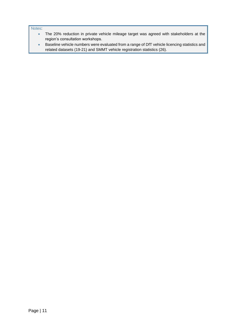- The 20% reduction in private vehicle mileage target was agreed with stakeholders at the region's consultation workshops.
- Baseline vehicle numbers were evaluated from a range of DfT vehicle licencing statistics and related datasets (19-21) and SMMT vehicle registration statistics (26).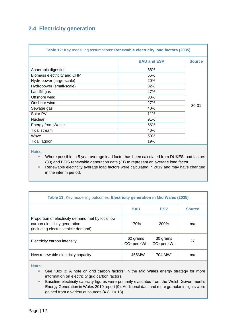### <span id="page-11-0"></span>**2.4 Electricity generation**

| Table 12: Key modelling assumptions: Renewable electricity load factors (2035) |                    |               |  |
|--------------------------------------------------------------------------------|--------------------|---------------|--|
|                                                                                | <b>BAU and ESV</b> | <b>Source</b> |  |
| Anaerobic digestion                                                            | 66%                |               |  |
| Biomass electricity and CHP                                                    | 66%                |               |  |
| Hydropower (large-scale)                                                       | 20%                |               |  |
| Hydropower (small-scale)                                                       | 32%                |               |  |
| Landfill gas                                                                   | 47%                |               |  |
| Offshore wind                                                                  | 33%                |               |  |
| Onshore wind                                                                   | 27%                | $30 - 31$     |  |
| Sewage gas                                                                     | 40%                |               |  |
| Solar PV                                                                       | 11%                |               |  |
| <b>Nuclear</b>                                                                 | 91%                |               |  |
| <b>Energy from Waste</b>                                                       | 66%                |               |  |
| Tidal stream                                                                   | 40%                |               |  |
| Wave                                                                           | 50%                |               |  |
| Tidal lagoon                                                                   | 19%                |               |  |

Notes:

- Where possible, a 5 year average load factor has been calculated from DUKES load factors (30) and BEIS renewable generation data (31) to represent an average load factor.
- Renewable electricity average load factors were calculated in 2019 and may have changed in the interim period.

| Table 13: Key modelling outcomes: Electricity generation in Mid Wales (2035)                                              |                           |                           |               |  |  |
|---------------------------------------------------------------------------------------------------------------------------|---------------------------|---------------------------|---------------|--|--|
|                                                                                                                           | <b>BAU</b>                | <b>ESV</b>                | <b>Source</b> |  |  |
| Proportion of electricity demand met by local low<br>carbon electricity generation<br>(including electric vehicle demand) | 170%                      | 200%                      | n/a           |  |  |
| Electricity carbon intensity                                                                                              | 62 grams<br>$CO2$ per kWh | 30 grams<br>$CO2$ per kWh | 27            |  |  |
| New renewable electricity capacity                                                                                        | 465MW                     | 704 MW                    | n/a           |  |  |
|                                                                                                                           |                           |                           |               |  |  |

- See "Box 3: A note on grid carbon factors" in the Mid Wales energy strategy for more information on electricity grid carbon factors.
- Baseline electricity capacity figures were primarily evaluated from the Welsh Government's Energy Generation in Wales 2019 report (9). Additional data and more granular insights were gained from a variety of sources (4-8, 10-13).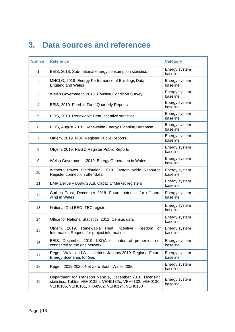## <span id="page-12-0"></span>**3. Data sources and references**

| <b>Source</b>  | <b>Reference</b>                                                                                                                                                      | <b>Category</b>           |
|----------------|-----------------------------------------------------------------------------------------------------------------------------------------------------------------------|---------------------------|
| $\mathbf 1$    | BEIS, 2018. Sub-national energy consumption statistics                                                                                                                | Energy system<br>baseline |
| $\overline{2}$ | MHCLG, 2018. Energy Performance of Buildings Data:<br><b>England and Wales</b>                                                                                        | Energy system<br>baseline |
| 3              | Welsh Government, 2018. Housing Condition Survey                                                                                                                      | Energy system<br>baseline |
| 4              | BEIS, 2019. Feed-in Tariff Quarterly Reports                                                                                                                          | Energy system<br>baseline |
| 5              | BEIS, 2019. Renewable Heat Incentive statistics                                                                                                                       | Energy system<br>baseline |
| 6              | BEIS, August 2018. Renewable Energy Planning Database                                                                                                                 | Energy system<br>baseline |
| $\overline{7}$ | Ofgem, 2019. ROC Register Public Reports                                                                                                                              | Energy system<br>baseline |
| 8              | Ofgem, 2019. REGO Register Public Reports                                                                                                                             | Energy system<br>baseline |
| 9              | Welsh Government, 2019. Energy Generation in Wales                                                                                                                    | Energy system<br>baseline |
| 10             | Western Power Distribution, 2019. System Wide Resource<br>Register connection offer data                                                                              | Energy system<br>baseline |
| 11             | EMR Delivery Body, 2018. Capacity Market registers                                                                                                                    | Energy system<br>baseline |
| 12             | Carbon Trust, December 2018. Future potential for offshore<br>wind in Wales                                                                                           | Energy system<br>baseline |
| 13             | National Grid ESO, TEC register                                                                                                                                       | Energy system<br>baseline |
| 14             | Office for National Statistics, 2011. Census data                                                                                                                     | Energy system<br>baseline |
| 15             | Ofgem, 2019. Renewable Heat Incentive<br>Freedom<br>of<br>Information Request for project information.                                                                | Energy system<br>baseline |
| 16             | BEIS, December 2019. LSOA estimates of properties not<br>connected to the gas network                                                                                 | Energy system<br>baseline |
| 17             | Regen, Wales and West Utilities, January 2019. Regional Future<br><b>Energy Scenarios for Gas</b>                                                                     | Energy system<br>baseline |
| 18             | Regen, 2019-2020. Net Zero South Wales 2050                                                                                                                           | Energy system<br>baseline |
| 19             | Department for Transport Vehicle, December 2018. Licensing<br>statistics: Tables VEH0132b, VEH0132c, VEH0132, VEH0130,<br>VEH0105, VEH0101, TRA8902, VEH0124, VEH0150 | Energy system<br>baseline |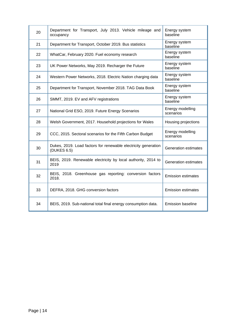| 20 | Department for Transport, July 2013. Vehicle mileage and<br>occupancy         | Energy system<br>baseline     |
|----|-------------------------------------------------------------------------------|-------------------------------|
| 21 | Department for Transport, October 2019. Bus statistics                        | Energy system<br>baseline     |
| 22 | WhatCar, February 2020. Fuel economy research                                 | Energy system<br>baseline     |
| 23 | UK Power Networks, May 2019. Recharger the Future                             | Energy system<br>baseline     |
| 24 | Western Power Networks, 2018. Electric Nation charging data                   | Energy system<br>baseline     |
| 25 | Department for Transport, November 2018. TAG Data Book                        | Energy system<br>baseline     |
| 26 | SMMT, 2019. EV and AFV registrations                                          | Energy system<br>baseline     |
| 27 | National Grid ESO, 2019. Future Energy Scenarios                              | Energy modelling<br>scenarios |
| 28 | Welsh Government, 2017. Household projections for Wales                       | Housing projections           |
| 29 | CCC, 2015. Sectoral scenarios for the Fifth Carbon Budget                     | Energy modelling<br>scenarios |
| 30 | Dukes, 2019. Load factors for renewable electricity generation<br>(DUKES 6.5) | <b>Generation estimates</b>   |
| 31 | BEIS, 2019. Renewable electricity by local authority, 2014 to<br>2019         | <b>Generation estimates</b>   |
| 32 | BEIS, 2018. Greenhouse gas reporting: conversion factors<br>2018.             | <b>Emission estimates</b>     |
| 33 | DEFRA, 2018. GHG conversion factors                                           | <b>Emission estimates</b>     |
| 34 | BEIS, 2019. Sub-national total final energy consumption data.                 | <b>Emission baseline</b>      |